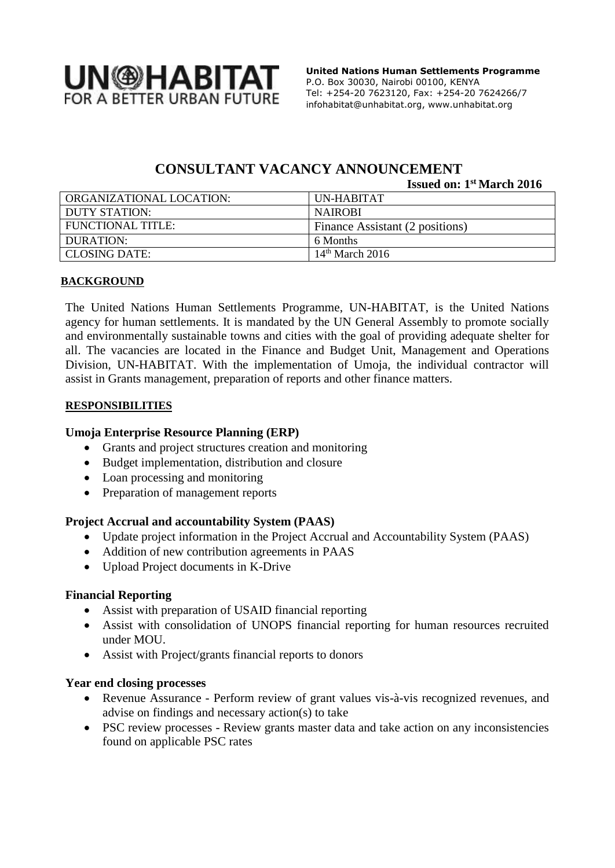

 **United Nations Human Settlements Programme** P.O. Box 30030, Nairobi 00100, KENYA Tel: +254-20 7623120, Fax: +254-20 7624266/7 [infohabitat@unhabitat.org,](mailto:infohabitat@unhabitat.org) www.unhabitat.org

# **CONSULTANT VACANCY ANNOUNCEMENT**

**Issued on: 1 st March 2016**

| ORGANIZATIONAL LOCATION: | UN-HABITAT                      |
|--------------------------|---------------------------------|
| DUTY STATION:            | <b>NAIROBI</b>                  |
| FUNCTIONAL TITLE:        | Finance Assistant (2 positions) |
| DURATION:                | 6 Months                        |
| CLOSING DATE:            | $14th$ March 2016               |

# **BACKGROUND**

The United Nations Human Settlements Programme, UN-HABITAT, is the United Nations agency for human settlements. It is mandated by the UN General Assembly to promote socially and environmentally sustainable towns and cities with the goal of providing adequate shelter for all. The vacancies are located in the Finance and Budget Unit, Management and Operations Division, UN-HABITAT. With the implementation of Umoja, the individual contractor will assist in Grants management, preparation of reports and other finance matters.

# **RESPONSIBILITIES**

## **Umoja Enterprise Resource Planning (ERP)**

- Grants and project structures creation and monitoring
- Budget implementation, distribution and closure
- Loan processing and monitoring
- Preparation of management reports

# **Project Accrual and accountability System (PAAS)**

- Update project information in the Project Accrual and Accountability System (PAAS)
- Addition of new contribution agreements in PAAS
- Upload Project documents in K-Drive

# **Financial Reporting**

- Assist with preparation of USAID financial reporting
- Assist with consolidation of UNOPS financial reporting for human resources recruited under MOU.
- Assist with Project/grants financial reports to donors

# **Year end closing processes**

- Revenue Assurance Perform review of grant values vis-à-vis recognized revenues, and advise on findings and necessary action(s) to take
- PSC review processes Review grants master data and take action on any inconsistencies found on applicable PSC rates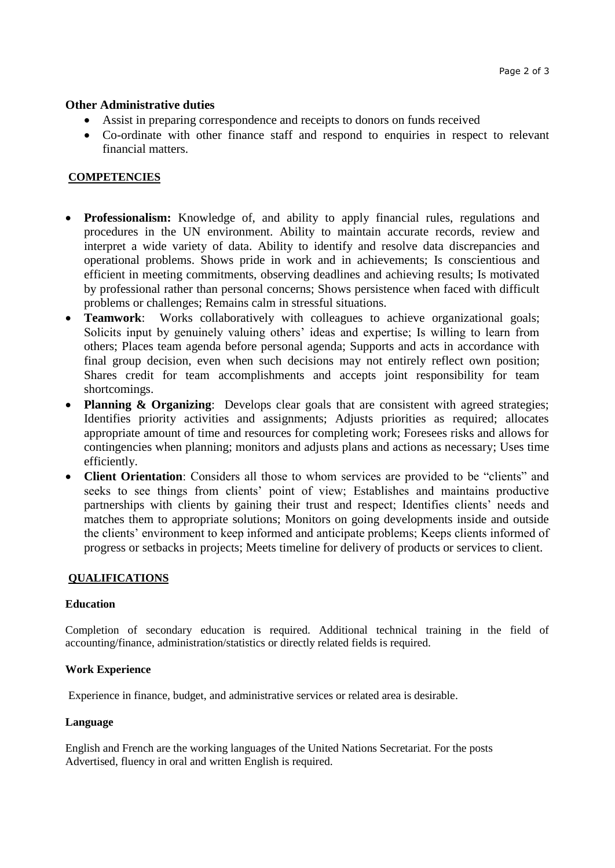## **Other Administrative duties**

- Assist in preparing correspondence and receipts to donors on funds received
- Co-ordinate with other finance staff and respond to enquiries in respect to relevant financial matters.

# **COMPETENCIES**

- **Professionalism:** Knowledge of, and ability to apply financial rules, regulations and procedures in the UN environment. Ability to maintain accurate records, review and interpret a wide variety of data. Ability to identify and resolve data discrepancies and operational problems. Shows pride in work and in achievements; Is conscientious and efficient in meeting commitments, observing deadlines and achieving results; Is motivated by professional rather than personal concerns; Shows persistence when faced with difficult problems or challenges; Remains calm in stressful situations.
- **Teamwork**: Works collaboratively with colleagues to achieve organizational goals; Solicits input by genuinely valuing others' ideas and expertise; Is willing to learn from others; Places team agenda before personal agenda; Supports and acts in accordance with final group decision, even when such decisions may not entirely reflect own position; Shares credit for team accomplishments and accepts joint responsibility for team shortcomings.
- **Planning & Organizing**: Develops clear goals that are consistent with agreed strategies; Identifies priority activities and assignments; Adjusts priorities as required; allocates appropriate amount of time and resources for completing work; Foresees risks and allows for contingencies when planning; monitors and adjusts plans and actions as necessary; Uses time efficiently.
- **Client Orientation**: Considers all those to whom services are provided to be "clients" and seeks to see things from clients' point of view; Establishes and maintains productive partnerships with clients by gaining their trust and respect; Identifies clients' needs and matches them to appropriate solutions; Monitors on going developments inside and outside the clients' environment to keep informed and anticipate problems; Keeps clients informed of progress or setbacks in projects; Meets timeline for delivery of products or services to client.

## **QUALIFICATIONS**

## **Education**

Completion of secondary education is required. Additional technical training in the field of accounting/finance, administration/statistics or directly related fields is required.

## **Work Experience**

Experience in finance, budget, and administrative services or related area is desirable.

## **Language**

English and French are the working languages of the United Nations Secretariat. For the posts Advertised, fluency in oral and written English is required.